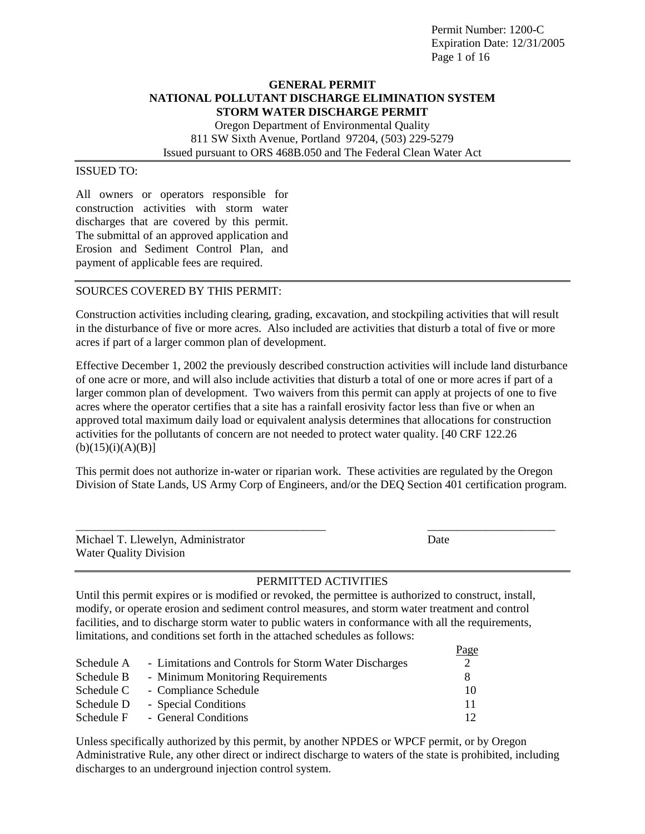Permit Number: 1200-C Expiration Date: 12/31/2005 Page 1 of 16

# **GENERAL PERMIT NATIONAL POLLUTANT DISCHARGE ELIMINATION SYSTEM STORM WATER DISCHARGE PERMIT**

Oregon Department of Environmental Quality 811 SW Sixth Avenue, Portland 97204, (503) 229-5279 Issued pursuant to ORS 468B.050 and The Federal Clean Water Act

# ISSUED TO:

All owners or operators responsible for construction activities with storm water discharges that are covered by this permit. The submittal of an approved application and Erosion and Sediment Control Plan, and payment of applicable fees are required.

# SOURCES COVERED BY THIS PERMIT:

Construction activities including clearing, grading, excavation, and stockpiling activities that will result in the disturbance of five or more acres. Also included are activities that disturb a total of five or more acres if part of a larger common plan of development.

Effective December 1, 2002 the previously described construction activities will include land disturbance of one acre or more, and will also include activities that disturb a total of one or more acres if part of a larger common plan of development. Two waivers from this permit can apply at projects of one to five acres where the operator certifies that a site has a rainfall erosivity factor less than five or when an approved total maximum daily load or equivalent analysis determines that allocations for construction activities for the pollutants of concern are not needed to protect water quality. [40 CRF 122.26  $(b)(15)(i)(A)(B)]$ 

This permit does not authorize in-water or riparian work. These activities are regulated by the Oregon Division of State Lands, US Army Corp of Engineers, and/or the DEQ Section 401 certification program.

\_\_\_\_\_\_\_\_\_\_\_\_\_\_\_\_\_\_\_\_\_\_\_\_\_\_\_\_\_\_\_\_\_\_\_\_\_\_\_\_\_\_\_ \_\_\_\_\_\_\_\_\_\_\_\_\_\_\_\_\_\_\_\_\_\_

| Michael T. Llewelyn, Administrator | Date |
|------------------------------------|------|
| <b>Water Quality Division</b>      |      |

 $D_{\alpha\alpha\alpha}$ 

# PERMITTED ACTIVITIES

Until this permit expires or is modified or revoked, the permittee is authorized to construct, install, modify, or operate erosion and sediment control measures, and storm water treatment and control facilities, and to discharge storm water to public waters in conformance with all the requirements, limitations, and conditions set forth in the attached schedules as follows:

|                                                       | r age           |
|-------------------------------------------------------|-----------------|
| - Limitations and Controls for Storm Water Discharges |                 |
| - Minimum Monitoring Requirements                     |                 |
| - Compliance Schedule                                 | 10              |
| - Special Conditions                                  | 11              |
| - General Conditions                                  | 12 <sup>2</sup> |
|                                                       |                 |

Unless specifically authorized by this permit, by another NPDES or WPCF permit, or by Oregon Administrative Rule, any other direct or indirect discharge to waters of the state is prohibited, including discharges to an underground injection control system.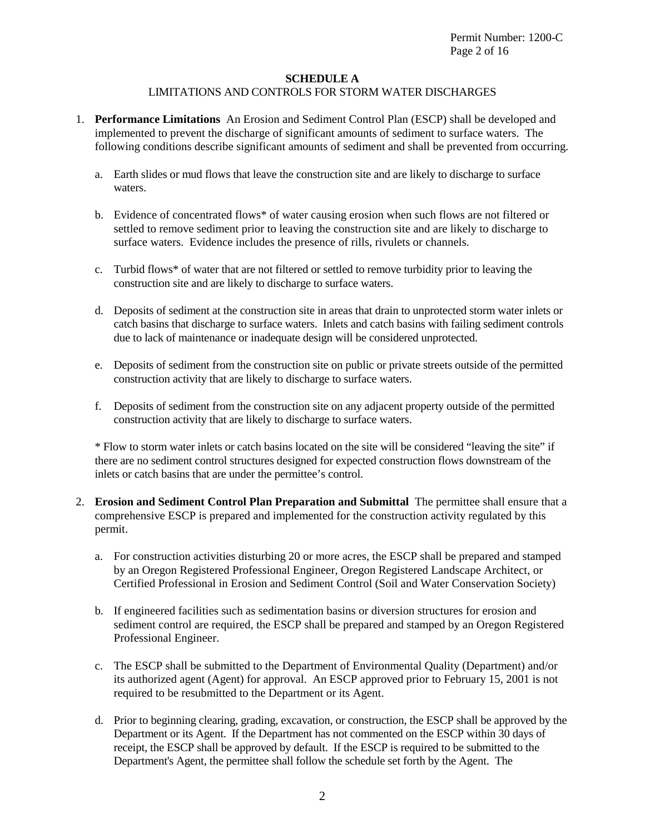# **SCHEDULE A**

# LIMITATIONS AND CONTROLS FOR STORM WATER DISCHARGES

- 1. **Performance Limitations** An Erosion and Sediment Control Plan (ESCP) shall be developed and implemented to prevent the discharge of significant amounts of sediment to surface waters. The following conditions describe significant amounts of sediment and shall be prevented from occurring.
	- a. Earth slides or mud flows that leave the construction site and are likely to discharge to surface waters.
	- b. Evidence of concentrated flows\* of water causing erosion when such flows are not filtered or settled to remove sediment prior to leaving the construction site and are likely to discharge to surface waters. Evidence includes the presence of rills, rivulets or channels.
	- c. Turbid flows\* of water that are not filtered or settled to remove turbidity prior to leaving the construction site and are likely to discharge to surface waters.
	- d. Deposits of sediment at the construction site in areas that drain to unprotected storm water inlets or catch basins that discharge to surface waters. Inlets and catch basins with failing sediment controls due to lack of maintenance or inadequate design will be considered unprotected.
	- e. Deposits of sediment from the construction site on public or private streets outside of the permitted construction activity that are likely to discharge to surface waters.
	- f. Deposits of sediment from the construction site on any adjacent property outside of the permitted construction activity that are likely to discharge to surface waters.

\* Flow to storm water inlets or catch basins located on the site will be considered "leaving the site" if there are no sediment control structures designed for expected construction flows downstream of the inlets or catch basins that are under the permittee's control.

- 2. **Erosion and Sediment Control Plan Preparation and Submittal** The permittee shall ensure that a comprehensive ESCP is prepared and implemented for the construction activity regulated by this permit.
	- a. For construction activities disturbing 20 or more acres, the ESCP shall be prepared and stamped by an Oregon Registered Professional Engineer, Oregon Registered Landscape Architect, or Certified Professional in Erosion and Sediment Control (Soil and Water Conservation Society)
	- b. If engineered facilities such as sedimentation basins or diversion structures for erosion and sediment control are required, the ESCP shall be prepared and stamped by an Oregon Registered Professional Engineer.
	- c. The ESCP shall be submitted to the Department of Environmental Quality (Department) and/or its authorized agent (Agent) for approval. An ESCP approved prior to February 15, 2001 is not required to be resubmitted to the Department or its Agent.
	- d. Prior to beginning clearing, grading, excavation, or construction, the ESCP shall be approved by the Department or its Agent. If the Department has not commented on the ESCP within 30 days of receipt, the ESCP shall be approved by default. If the ESCP is required to be submitted to the Department's Agent, the permittee shall follow the schedule set forth by the Agent. The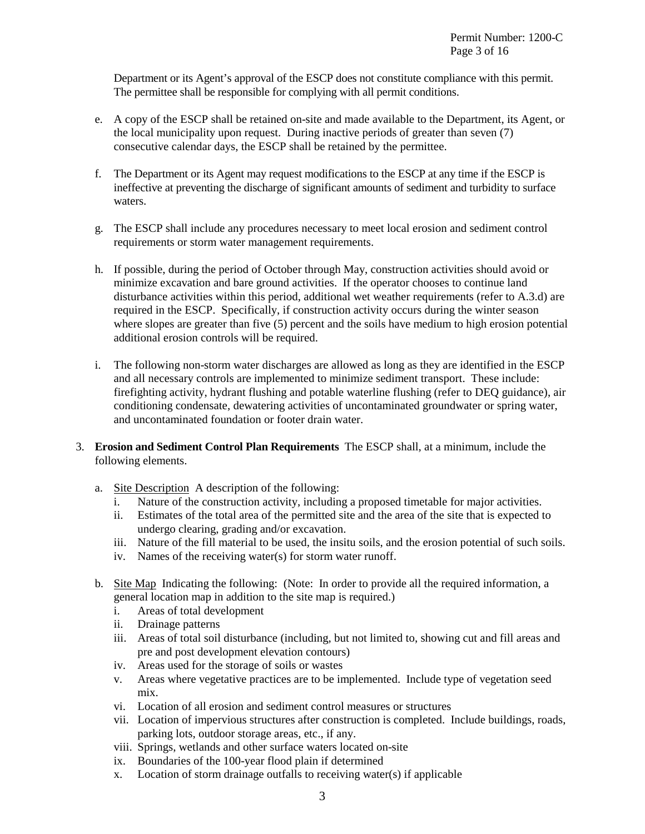Department or its Agent's approval of the ESCP does not constitute compliance with this permit. The permittee shall be responsible for complying with all permit conditions.

- e. A copy of the ESCP shall be retained on-site and made available to the Department, its Agent, or the local municipality upon request. During inactive periods of greater than seven (7) consecutive calendar days, the ESCP shall be retained by the permittee.
- f. The Department or its Agent may request modifications to the ESCP at any time if the ESCP is ineffective at preventing the discharge of significant amounts of sediment and turbidity to surface waters.
- g. The ESCP shall include any procedures necessary to meet local erosion and sediment control requirements or storm water management requirements.
- h. If possible, during the period of October through May, construction activities should avoid or minimize excavation and bare ground activities. If the operator chooses to continue land disturbance activities within this period, additional wet weather requirements (refer to A.3.d) are required in the ESCP. Specifically, if construction activity occurs during the winter season where slopes are greater than five (5) percent and the soils have medium to high erosion potential additional erosion controls will be required.
- i. The following non-storm water discharges are allowed as long as they are identified in the ESCP and all necessary controls are implemented to minimize sediment transport. These include: firefighting activity, hydrant flushing and potable waterline flushing (refer to DEQ guidance), air conditioning condensate, dewatering activities of uncontaminated groundwater or spring water, and uncontaminated foundation or footer drain water.
- 3. **Erosion and Sediment Control Plan Requirements** The ESCP shall, at a minimum, include the following elements.
	- a. Site Description A description of the following:
		- i. Nature of the construction activity, including a proposed timetable for major activities.
		- ii. Estimates of the total area of the permitted site and the area of the site that is expected to undergo clearing, grading and/or excavation.
		- iii. Nature of the fill material to be used, the insitu soils, and the erosion potential of such soils.
		- iv. Names of the receiving water(s) for storm water runoff.
	- b. Site Map Indicating the following: (Note: In order to provide all the required information, a general location map in addition to the site map is required.)
		- i. Areas of total development
		- ii. Drainage patterns
		- iii. Areas of total soil disturbance (including, but not limited to, showing cut and fill areas and pre and post development elevation contours)
		- iv. Areas used for the storage of soils or wastes
		- v. Areas where vegetative practices are to be implemented. Include type of vegetation seed mix.
		- vi. Location of all erosion and sediment control measures or structures
		- vii. Location of impervious structures after construction is completed. Include buildings, roads, parking lots, outdoor storage areas, etc., if any.
		- viii. Springs, wetlands and other surface waters located on-site
		- ix. Boundaries of the 100-year flood plain if determined
		- x. Location of storm drainage outfalls to receiving water(s) if applicable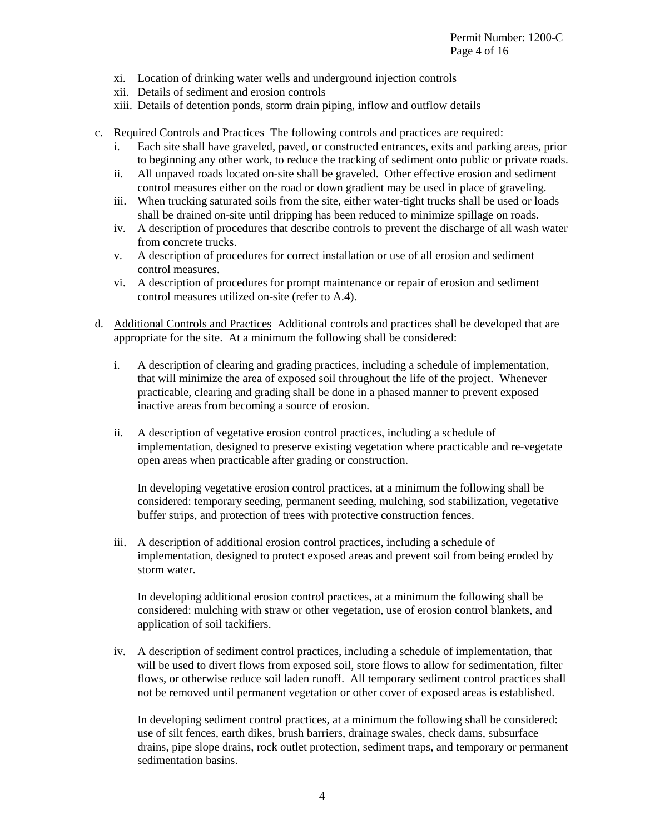- xi. Location of drinking water wells and underground injection controls
- xii. Details of sediment and erosion controls
- xiii. Details of detention ponds, storm drain piping, inflow and outflow details
- c. Required Controls and Practices The following controls and practices are required:
	- i. Each site shall have graveled, paved, or constructed entrances, exits and parking areas, prior to beginning any other work, to reduce the tracking of sediment onto public or private roads.
	- ii. All unpaved roads located on-site shall be graveled. Other effective erosion and sediment control measures either on the road or down gradient may be used in place of graveling.
	- iii. When trucking saturated soils from the site, either water-tight trucks shall be used or loads shall be drained on-site until dripping has been reduced to minimize spillage on roads.
	- iv. A description of procedures that describe controls to prevent the discharge of all wash water from concrete trucks.
	- v. A description of procedures for correct installation or use of all erosion and sediment control measures.
	- vi. A description of procedures for prompt maintenance or repair of erosion and sediment control measures utilized on-site (refer to A.4).
- d. Additional Controls and Practices Additional controls and practices shall be developed that are appropriate for the site. At a minimum the following shall be considered:
	- i. A description of clearing and grading practices, including a schedule of implementation, that will minimize the area of exposed soil throughout the life of the project. Whenever practicable, clearing and grading shall be done in a phased manner to prevent exposed inactive areas from becoming a source of erosion.
	- ii. A description of vegetative erosion control practices, including a schedule of implementation, designed to preserve existing vegetation where practicable and re-vegetate open areas when practicable after grading or construction.

In developing vegetative erosion control practices, at a minimum the following shall be considered: temporary seeding, permanent seeding, mulching, sod stabilization, vegetative buffer strips, and protection of trees with protective construction fences.

iii. A description of additional erosion control practices, including a schedule of implementation, designed to protect exposed areas and prevent soil from being eroded by storm water.

In developing additional erosion control practices, at a minimum the following shall be considered: mulching with straw or other vegetation, use of erosion control blankets, and application of soil tackifiers.

iv. A description of sediment control practices, including a schedule of implementation, that will be used to divert flows from exposed soil, store flows to allow for sedimentation, filter flows, or otherwise reduce soil laden runoff. All temporary sediment control practices shall not be removed until permanent vegetation or other cover of exposed areas is established.

In developing sediment control practices, at a minimum the following shall be considered: use of silt fences, earth dikes, brush barriers, drainage swales, check dams, subsurface drains, pipe slope drains, rock outlet protection, sediment traps, and temporary or permanent sedimentation basins.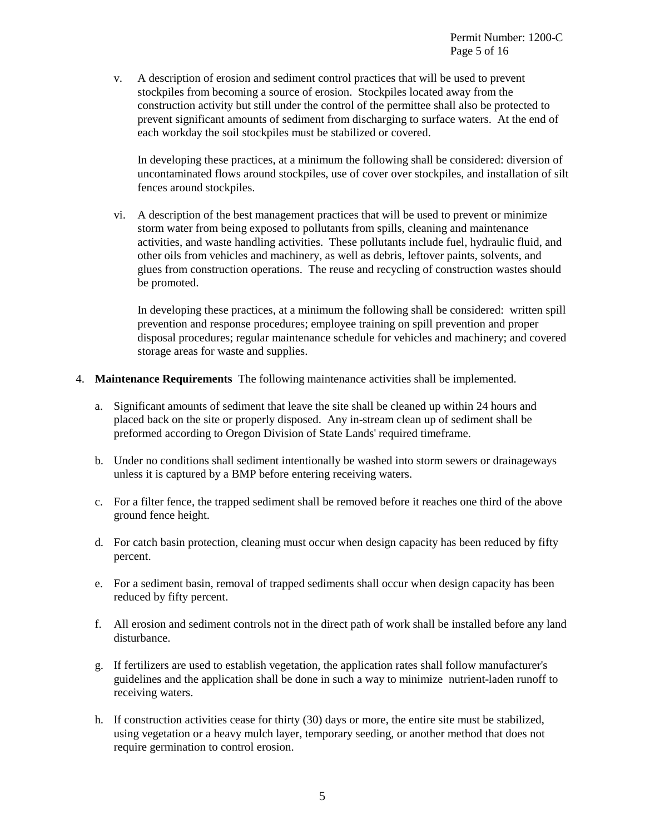v. A description of erosion and sediment control practices that will be used to prevent stockpiles from becoming a source of erosion. Stockpiles located away from the construction activity but still under the control of the permittee shall also be protected to prevent significant amounts of sediment from discharging to surface waters. At the end of each workday the soil stockpiles must be stabilized or covered.

In developing these practices, at a minimum the following shall be considered: diversion of uncontaminated flows around stockpiles, use of cover over stockpiles, and installation of silt fences around stockpiles.

vi. A description of the best management practices that will be used to prevent or minimize storm water from being exposed to pollutants from spills, cleaning and maintenance activities, and waste handling activities. These pollutants include fuel, hydraulic fluid, and other oils from vehicles and machinery, as well as debris, leftover paints, solvents, and glues from construction operations. The reuse and recycling of construction wastes should be promoted.

In developing these practices, at a minimum the following shall be considered: written spill prevention and response procedures; employee training on spill prevention and proper disposal procedures; regular maintenance schedule for vehicles and machinery; and covered storage areas for waste and supplies.

- 4. **Maintenance Requirements** The following maintenance activities shall be implemented.
	- a. Significant amounts of sediment that leave the site shall be cleaned up within 24 hours and placed back on the site or properly disposed. Any in-stream clean up of sediment shall be preformed according to Oregon Division of State Lands' required timeframe.
	- b. Under no conditions shall sediment intentionally be washed into storm sewers or drainageways unless it is captured by a BMP before entering receiving waters.
	- c. For a filter fence, the trapped sediment shall be removed before it reaches one third of the above ground fence height.
	- d. For catch basin protection, cleaning must occur when design capacity has been reduced by fifty percent.
	- e. For a sediment basin, removal of trapped sediments shall occur when design capacity has been reduced by fifty percent.
	- f. All erosion and sediment controls not in the direct path of work shall be installed before any land disturbance.
	- g. If fertilizers are used to establish vegetation, the application rates shall follow manufacturer's guidelines and the application shall be done in such a way to minimize nutrient-laden runoff to receiving waters.
	- h. If construction activities cease for thirty (30) days or more, the entire site must be stabilized, using vegetation or a heavy mulch layer, temporary seeding, or another method that does not require germination to control erosion.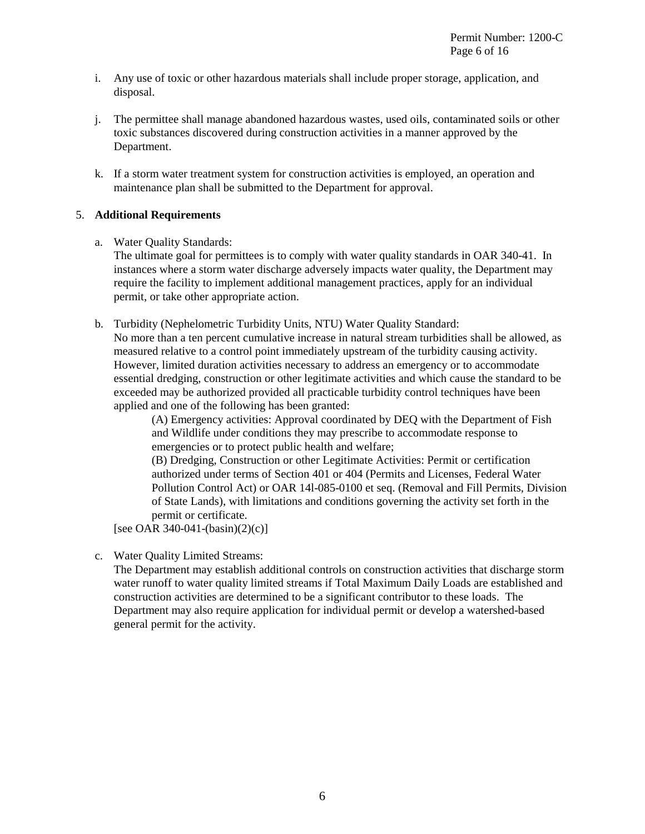- i. Any use of toxic or other hazardous materials shall include proper storage, application, and disposal.
- j. The permittee shall manage abandoned hazardous wastes, used oils, contaminated soils or other toxic substances discovered during construction activities in a manner approved by the Department.
- k. If a storm water treatment system for construction activities is employed, an operation and maintenance plan shall be submitted to the Department for approval.

# 5. **Additional Requirements**

a. Water Quality Standards:

The ultimate goal for permittees is to comply with water quality standards in OAR 340-41. In instances where a storm water discharge adversely impacts water quality, the Department may require the facility to implement additional management practices, apply for an individual permit, or take other appropriate action.

b. Turbidity (Nephelometric Turbidity Units, NTU) Water Quality Standard:

No more than a ten percent cumulative increase in natural stream turbidities shall be allowed, as measured relative to a control point immediately upstream of the turbidity causing activity. However, limited duration activities necessary to address an emergency or to accommodate essential dredging, construction or other legitimate activities and which cause the standard to be exceeded may be authorized provided all practicable turbidity control techniques have been applied and one of the following has been granted:

(A) Emergency activities: Approval coordinated by DEQ with the Department of Fish and Wildlife under conditions they may prescribe to accommodate response to emergencies or to protect public health and welfare;

(B) Dredging, Construction or other Legitimate Activities: Permit or certification authorized under terms of Section 401 or 404 (Permits and Licenses, Federal Water Pollution Control Act) or OAR 14l-085-0100 et seq. (Removal and Fill Permits, Division of State Lands), with limitations and conditions governing the activity set forth in the permit or certificate.

[see OAR 340-041-(basin)(2)(c)]

c. Water Quality Limited Streams:

The Department may establish additional controls on construction activities that discharge storm water runoff to water quality limited streams if Total Maximum Daily Loads are established and construction activities are determined to be a significant contributor to these loads. The Department may also require application for individual permit or develop a watershed-based general permit for the activity.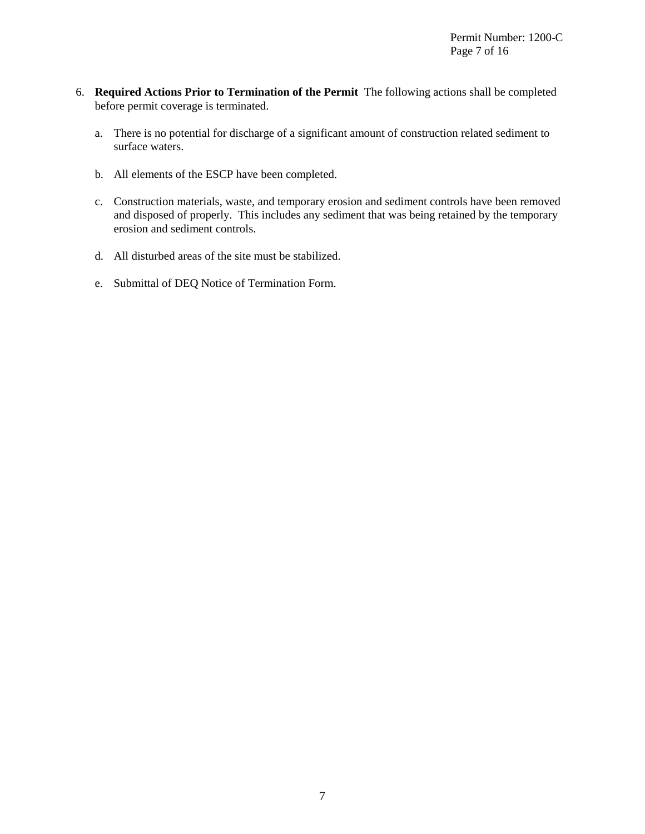- 6. **Required Actions Prior to Termination of the Permit** The following actions shall be completed before permit coverage is terminated.
	- a. There is no potential for discharge of a significant amount of construction related sediment to surface waters.
	- b. All elements of the ESCP have been completed.
	- c. Construction materials, waste, and temporary erosion and sediment controls have been removed and disposed of properly. This includes any sediment that was being retained by the temporary erosion and sediment controls.
	- d. All disturbed areas of the site must be stabilized.
	- e. Submittal of DEQ Notice of Termination Form.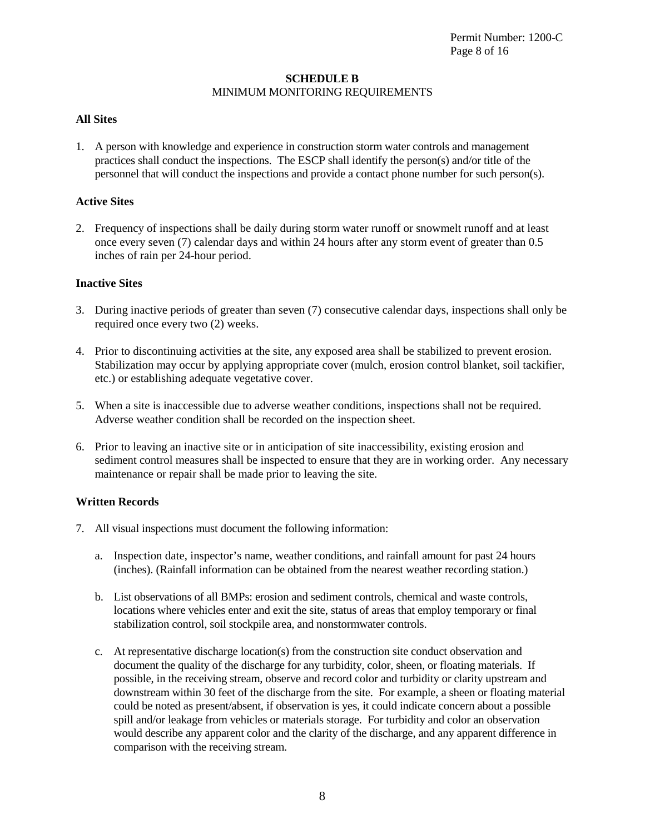# **SCHEDULE B** MINIMUM MONITORING REQUIREMENTS

# **All Sites**

1. A person with knowledge and experience in construction storm water controls and management practices shall conduct the inspections. The ESCP shall identify the person(s) and/or title of the personnel that will conduct the inspections and provide a contact phone number for such person(s).

## **Active Sites**

2. Frequency of inspections shall be daily during storm water runoff or snowmelt runoff and at least once every seven (7) calendar days and within 24 hours after any storm event of greater than 0.5 inches of rain per 24-hour period.

## **Inactive Sites**

- 3. During inactive periods of greater than seven (7) consecutive calendar days, inspections shall only be required once every two (2) weeks.
- 4. Prior to discontinuing activities at the site, any exposed area shall be stabilized to prevent erosion. Stabilization may occur by applying appropriate cover (mulch, erosion control blanket, soil tackifier, etc.) or establishing adequate vegetative cover.
- 5. When a site is inaccessible due to adverse weather conditions, inspections shall not be required. Adverse weather condition shall be recorded on the inspection sheet.
- 6. Prior to leaving an inactive site or in anticipation of site inaccessibility, existing erosion and sediment control measures shall be inspected to ensure that they are in working order. Any necessary maintenance or repair shall be made prior to leaving the site.

# **Written Records**

- 7. All visual inspections must document the following information:
	- a. Inspection date, inspector's name, weather conditions, and rainfall amount for past 24 hours (inches). (Rainfall information can be obtained from the nearest weather recording station.)
	- b. List observations of all BMPs: erosion and sediment controls, chemical and waste controls, locations where vehicles enter and exit the site, status of areas that employ temporary or final stabilization control, soil stockpile area, and nonstormwater controls.
	- c. At representative discharge location(s) from the construction site conduct observation and document the quality of the discharge for any turbidity, color, sheen, or floating materials. If possible, in the receiving stream, observe and record color and turbidity or clarity upstream and downstream within 30 feet of the discharge from the site. For example, a sheen or floating material could be noted as present/absent, if observation is yes, it could indicate concern about a possible spill and/or leakage from vehicles or materials storage. For turbidity and color an observation would describe any apparent color and the clarity of the discharge, and any apparent difference in comparison with the receiving stream.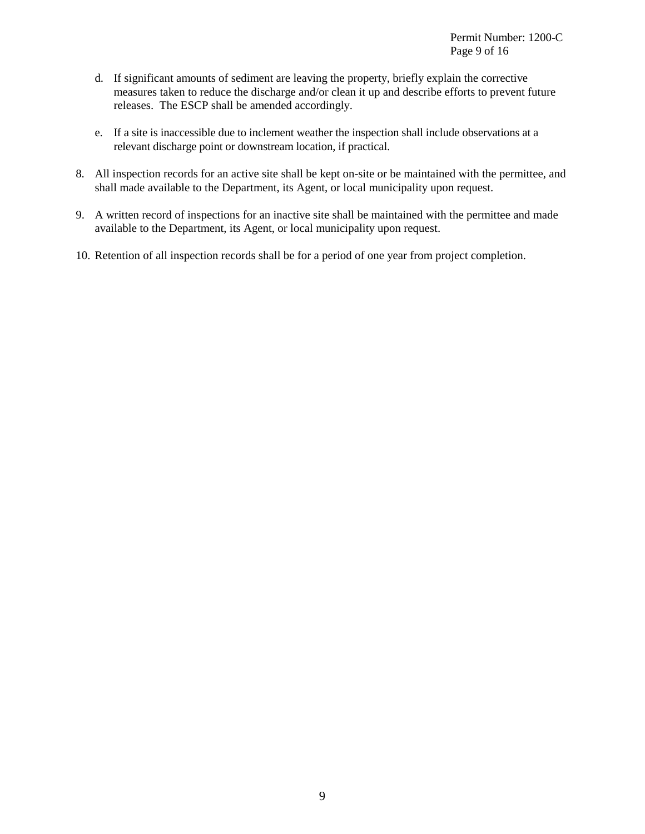- d. If significant amounts of sediment are leaving the property, briefly explain the corrective measures taken to reduce the discharge and/or clean it up and describe efforts to prevent future releases. The ESCP shall be amended accordingly.
- e. If a site is inaccessible due to inclement weather the inspection shall include observations at a relevant discharge point or downstream location, if practical.
- 8. All inspection records for an active site shall be kept on-site or be maintained with the permittee, and shall made available to the Department, its Agent, or local municipality upon request.
- 9. A written record of inspections for an inactive site shall be maintained with the permittee and made available to the Department, its Agent, or local municipality upon request.
- 10. Retention of all inspection records shall be for a period of one year from project completion.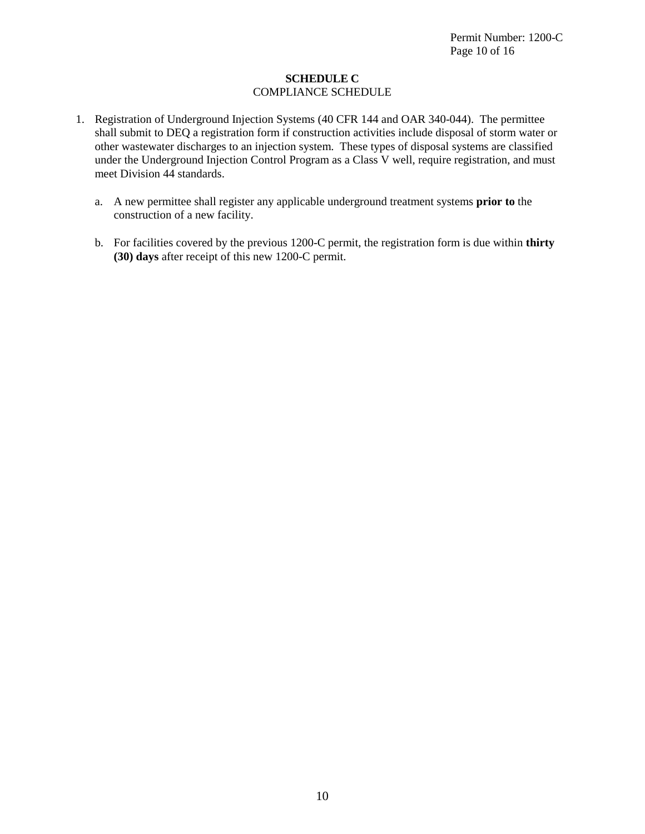# **SCHEDULE C** COMPLIANCE SCHEDULE

- 1. Registration of Underground Injection Systems (40 CFR 144 and OAR 340-044). The permittee shall submit to DEQ a registration form if construction activities include disposal of storm water or other wastewater discharges to an injection system. These types of disposal systems are classified under the Underground Injection Control Program as a Class V well, require registration, and must meet Division 44 standards.
	- a. A new permittee shall register any applicable underground treatment systems **prior to** the construction of a new facility.
	- b. For facilities covered by the previous 1200-C permit, the registration form is due within **thirty (30) days** after receipt of this new 1200-C permit.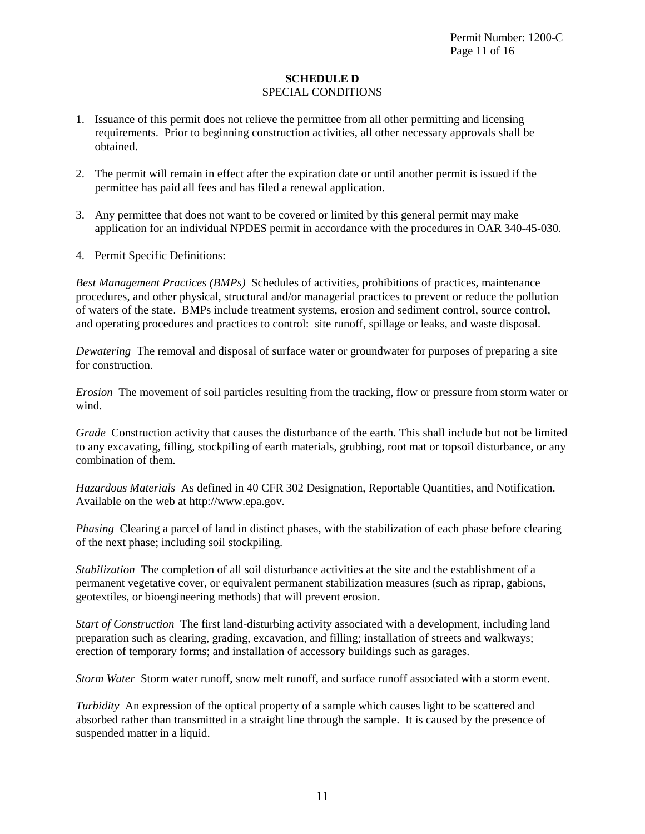# **SCHEDULE D** SPECIAL CONDITIONS

- 1. Issuance of this permit does not relieve the permittee from all other permitting and licensing requirements. Prior to beginning construction activities, all other necessary approvals shall be obtained.
- 2. The permit will remain in effect after the expiration date or until another permit is issued if the permittee has paid all fees and has filed a renewal application.
- 3. Any permittee that does not want to be covered or limited by this general permit may make application for an individual NPDES permit in accordance with the procedures in OAR 340-45-030.
- 4. Permit Specific Definitions:

*Best Management Practices (BMPs)* Schedules of activities, prohibitions of practices, maintenance procedures, and other physical, structural and/or managerial practices to prevent or reduce the pollution of waters of the state. BMPs include treatment systems, erosion and sediment control, source control, and operating procedures and practices to control: site runoff, spillage or leaks, and waste disposal.

*Dewatering* The removal and disposal of surface water or groundwater for purposes of preparing a site for construction.

*Erosion* The movement of soil particles resulting from the tracking, flow or pressure from storm water or wind.

*Grade* Construction activity that causes the disturbance of the earth. This shall include but not be limited to any excavating, filling, stockpiling of earth materials, grubbing, root mat or topsoil disturbance, or any combination of them.

*Hazardous Materials* As defined in 40 CFR 302 Designation, Reportable Quantities, and Notification. Available on the web at http://www.epa.gov.

*Phasing* Clearing a parcel of land in distinct phases, with the stabilization of each phase before clearing of the next phase; including soil stockpiling.

*Stabilization* The completion of all soil disturbance activities at the site and the establishment of a permanent vegetative cover, or equivalent permanent stabilization measures (such as riprap, gabions, geotextiles, or bioengineering methods) that will prevent erosion.

*Start of Construction* The first land-disturbing activity associated with a development, including land preparation such as clearing, grading, excavation, and filling; installation of streets and walkways; erection of temporary forms; and installation of accessory buildings such as garages.

*Storm Water* Storm water runoff, snow melt runoff, and surface runoff associated with a storm event.

*Turbidity* An expression of the optical property of a sample which causes light to be scattered and absorbed rather than transmitted in a straight line through the sample. It is caused by the presence of suspended matter in a liquid.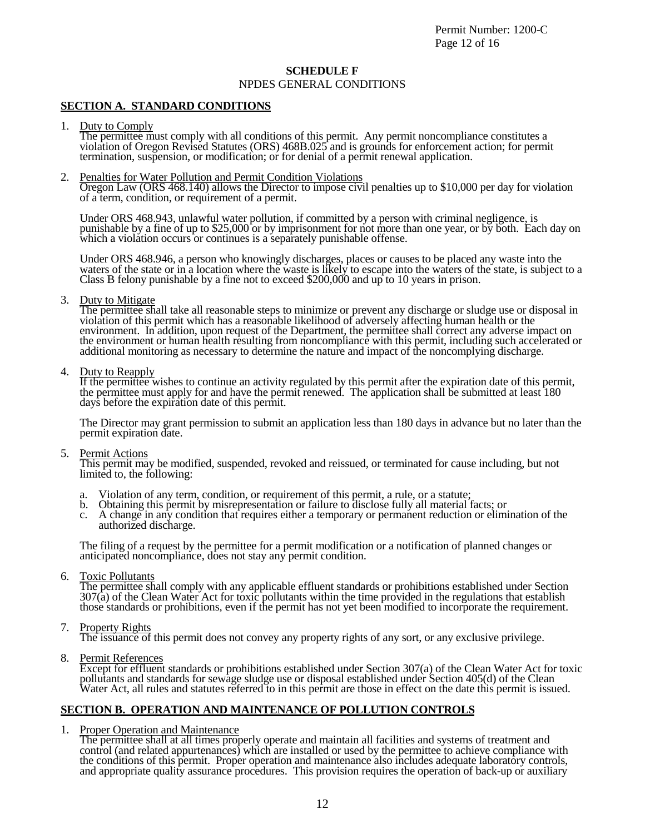Permit Number: 1200-C Page 12 of 16

### **SCHEDULE F**

NPDES GENERAL CONDITIONS

### **SECTION A. STANDARD CONDITIONS**

1. Duty to Comply<br>The permittee must comply with all conditions of this permit. Any permit noncompliance constitutes a violation of Oregon Revised Statutes (ORS) 468B.025 and is grounds for enforcement action; for permit termination, suspension, or modification; or for denial of a permit renewal application.

### 2. Penalties for Water Pollution and Permit Condition Violations

Oregon Law (ORS 468.140) allows the Director to impose civil penalties up to \$10,000 per day for violation of a term, condition, or requirement of a permit.

Under ORS 468.943, unlawful water pollution, if committed by a person with criminal negligence, is punishable by a fine of up to \$25,000 or by imprisonment for not more than one year, or by both. Each day on which a violation occurs or continues is a separately punishable offense.

Under ORS 468.946, a person who knowingly discharges, places or causes to be placed any waste into the waters of the state or in a location where the waste is likely to escape into the waters of the state, is subject to a Class B felony punishable by a fine not to exceed \$200,000 and up to 10 years in prison.

3. Duty to Mitigate<br>The permittee shall take all reasonable steps to minimize or prevent any discharge or sludge use or disposal in violation of this permit which has a reasonable likelihood of adversely affecting human health or the environment. In addition, upon request of the Department, the permittee shall correct any adverse impact on the environment or human health resulting from noncompliance with this permit, including such accelerated or additional monitoring as necessary to determine the nature and impact of the noncomplying discharge.

4. Duty to Reapply<br>If the permittee wishes to continue an activity regulated by this permit after the expiration date of this permit, the permittee must apply for and have the permit renewed. The application shall be submitted at least 180 days before the expiration date of this permit.

The Director may grant permission to submit an application less than 180 days in advance but no later than the permit expiration date.

### 5. Permit Actions

This permit may be modified, suspended, revoked and reissued, or terminated for cause including, but not limited to, the following:

- 
- a. Violation of any term, condition, or requirement of this permit, a rule, or a statute; b. Obtaining this permit by misrepresentation or failure to disclose fully all material facts; or
- c. A change in any condition that requires either a temporary or permanent reduction or elimination of the authorized discharge.

The filing of a request by the permittee for a permit modification or a notification of planned changes or anticipated noncompliance, does not stay any permit condition.

### 6. Toxic Pollutants

The permittee shall comply with any applicable effluent standards or prohibitions established under Section  $307(a)$  of the Clean Water Act for toxic pollutants within the time provided in the regulations that establish those standards or prohibitions, even if the permit has not yet been modified to incorporate the requirement.

7. Property Rights The issuance of this permit does not convey any property rights of any sort, or any exclusive privilege.

8. Permit References

Except for effluent standards or prohibitions established under Section 307(a) of the Clean Water Act for toxic pollutants and standards for sewage sludge use or disposal established under Section 405(d) of the Clean Water Act, all rules and statutes referred to in this permit are those in effect on the date this permit is issued.

# **SECTION B. OPERATION AND MAINTENANCE OF POLLUTION CONTROLS**

1. Proper Operation and Maintenance<br>The permittee shall at all times properly operate and maintain all facilities and systems of treatment and control (and related appurtenances) which are installed or used by the permittee to achieve compliance with the conditions of this permit. Proper operation and maintenance also includes adequate laboratory controls, and appropriate quality assurance procedures. This provision requires the operation of back-up or auxiliary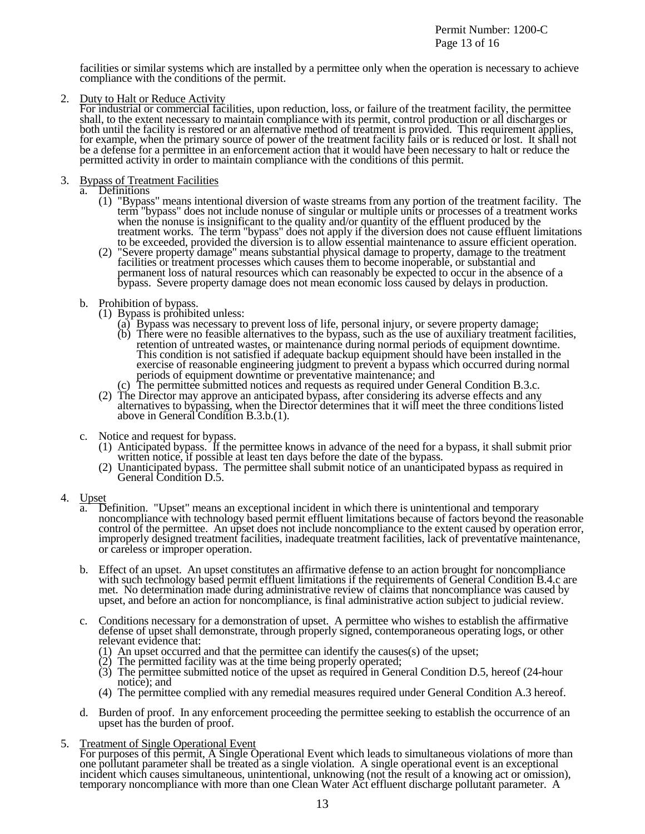Permit Number: 1200-C Page 13 of 16

facilities or similar systems which are installed by a permittee only when the operation is necessary to achieve compliance with the conditions of the permit.

2. Duty to Halt or Reduce Activity<br>For industrial or commercial facilities, upon reduction, loss, or failure of the treatment facility, the permittee shall, to the extent necessary to maintain compliance with its permit, control production or all discharges or both until the facility is restored or an alternative method of treatment is provided. This requirement applies, for example, when the primary source of power of the treatment facility fails or is reduced or lost. It shall not be a defense for a permittee in an enforcement action that it would have been necessary to halt or reduce the permitted activity in order to maintain compliance with the conditions of this permit.

- 
- 3. Bypass of Treatment Facilities<br>
a. Definitions<br>
(1) "Bypass" means intentional diversion of waste streams from any portion of the treatment facility. The (1) "Bypass" means intentional diversion of waste streams from any portion of the treatment facility. The term "bypass" does not include nonuse of singular or multiple units or processes of a treatment works when the nonuse is insignificant to the quality and/or quantity of the effluent produced by the treatment works. The term "bypass" does not apply if the diversion does not cause effluent limitations
	- to be exceeded, provided the diversion is to allow essential maintenance to assure efficient operation.<br>(2) "Severe property damage" means substantial physical damage to property, damage to the treatment facilities or trea facilities or treatment processes which causes them to become inoperable, or substantial and<br>permanent loss of natural resources which can reasonably be expected to occur in the absence of a bypass. Severe property damage does not mean economic loss caused by delays in production.

- 
- b. Prohibition of bypass. (1) Bypass is prohibited unless: (a) Bypass was necessary to prevent loss of life, personal injury, or severe property damage;
	- (b) There were no feasible alternatives to the bypass, such as the use of auxiliary treatment facilities, retention of untreated wastes, or maintenance during normal periods of equipment downtime. This condition is not satisfied if adequate backup equipment should have been installed in the exercise of reasonable engineering judgment to prevent a bypass which occurred during normal periods of equipment downtime or preventative maintenance; and
	-
	- periods of equipment downtime or preventative maintenance; and<br>(c) The permittee submitted notices and requests as required under General Condition B.3.c.<br>(2) The Director may approve an anticipated bypass, after consideri above in General Condition B.3.b.(1).

- c. Notice and request for bypass.<br>
(1) Anticipated bypass. If the permittee knows in advance of the need for a bypass, it shall submit prior<br>
written notice, if possible at least ten days before the date of the bypass.<br>
(2
	-
- 
- 4. Upset a. Definition. "Upset" means an exceptional incident in which there is unintentional and temporary noncompliance with technology based permit effluent limitations because of factors beyond the reasonable control of the permittee. An upset does not include noncompliance to the extent caused by operation error, improperly designed treatment facilities, inadequate treatment facilities, lack of preventative maintenance, or careless or improper operation.
	- b. Effect of an upset. An upset constitutes an affirmative defense to an action brought for noncompliance with such technology based permit effluent limitations if the requirements of General Condition B.4.c are met. No determination made during administrative review of claims that noncompliance was caused by upset, and before an action for noncompliance, is final administrative action subject to judicial review.
	- c. Conditions necessary for a demonstration of upset. A permittee who wishes to establish the affirmative defense of upset shall demonstrate, through properly signed, contemporaneous operating logs, or other relevant evidence that:
		- (1) An upset occurred and that the permittee can identify the causes(s) of the upset;
		- (2) The permitted facility was at the time being properly operated;
		- (3) The permittee submitted notice of the upset as required in General Condition D.5, hereof (24-hour notice); and
		- (4) The permittee complied with any remedial measures required under General Condition A.3 hereof.
	- d. Burden of proof. In any enforcement proceeding the permittee seeking to establish the occurrence of an upset has the burden of proof.
- 

5. Treatment of Single Operational Event<br>For purposes of this permit, A Single Operational Event which leads to simultaneous violations of more than one pollutant parameter shall be treated as a single violation. A single operational event is an exceptional incident which causes simultaneous, unintentional, unknowing (not the result of a knowing act or omission), temporary noncompliance with more than one Clean Water Act effluent discharge pollutant parameter. A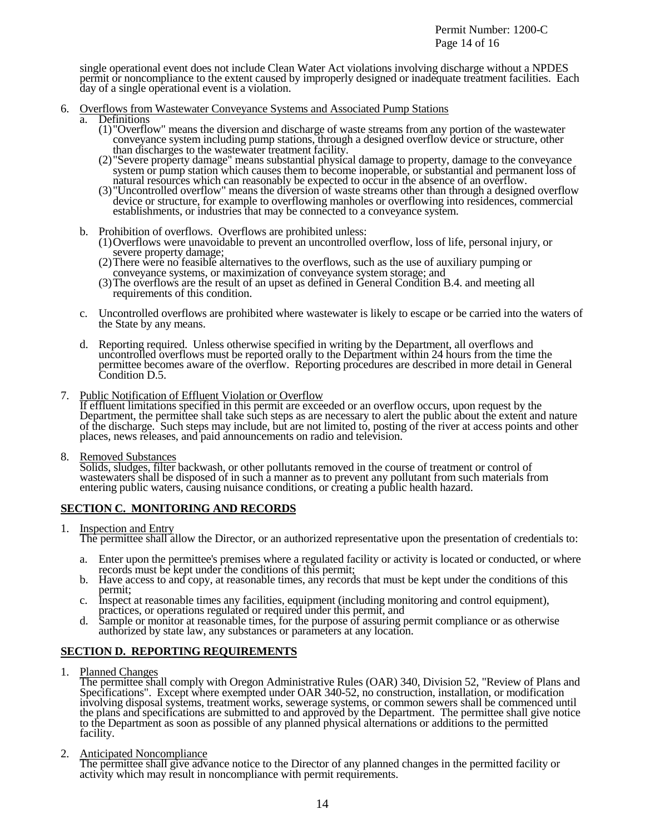single operational event does not include Clean Water Act violations involving discharge without a NPDES permit or noncompliance to the extent caused by improperly designed or inadequate treatment facilities. Each day of a single operational event is a violation.

- -
- 6. Overflows from Wastewater Conveyance Systems and Associated Pump Stations<br>a. Definitions<br>(1) "Overflow" means the diversion and discharge of waste streams from any portion of the wastewater conveyance system including pump stations, through a designed overflow device or structure, other
	- than discharges to the wastewater treatment facility.<br>
	(2) "Severe property damage" means substantial physical damage to property, damage to the conveyance<br>
	system or pump station which causes them to become inoperable, or
	- (3) "Uncontrolled overflow" means the diversion of waste streams other than through a designed overflow device or structure, for example to overflowing manholes or overflowing into residences, commercial establishments, or industries that may be connected to a conveyance system.
	-
	- b. Prohibition of overflows. Overflows are prohibited unless:<br>
	(1) Overflows were unavoidable to prevent an uncontrolled overflow, loss of life, personal injury, or<br>
	severe property damage;<br>
	(2) There were no feasible alte
		-
		-
	- c. Uncontrolled overflows are prohibited where wastewater is likely to escape or be carried into the waters of the State by any means.
	- d. Reporting required. Unless otherwise specified in writing by the Department, all overflows and uncontrolled overflows must be reported orally to the Department within 24 hours from the time the permittee becomes aware of the overflow. Reporting procedures are described in more detail in General Condition D.5.
- 7. Public Notification of Effluent Violation or Overflow

If effluent limitations specified in this permit are exceeded or an overflow occurs, upon request by the Department, the permittee shall take such steps as are necessary to alert the public about the extent and nature of the discharge. Such steps may include, but are not limited to, posting of the river at access points and other places, news releases, and paid announcements on radio and television.

8. Removed Substances

Solids, sludges, filter backwash, or other pollutants removed in the course of treatment or control of wastewaters shall be disposed of in such a manner as to prevent any pollutant from such materials from entering public waters, causing nuisance conditions, or creating a public health hazard.

# **SECTION C. MONITORING AND RECORDS**

1. Inspection and Entry Integral allow the Director, or an authorized representative upon the presentation of credentials to:

- 
- First upon the permittee's premises where a regulated facility or activity is located or conducted, or where<br>records must be kept under the conditions of this permit;<br>b. Have access to and copy, at reasonable times, any re
- 
- 

# **SECTION D. REPORTING REQUIREMENTS**

1. Planned Changes<br>The permittee shall comply with Oregon Administrative Rules (OAR) 340, Division 52, "Review of Plans and Specifications". Except where exempted under OAR 340-52, no construction, installation, or modification involving disposal systems, treatment works, sewerage systems, or common sewers shall be commenced until the plans and specifications are submitted to and approved by the Department. The permittee shall give notice to the Department as soon as possible of any planned physical alternations or additions to the permitted facility.

2. Anticipated Noncompliance<br>The permittee shall give advance notice to the Director of any planned changes in the permitted facility or activity which may result in noncompliance with permit requirements.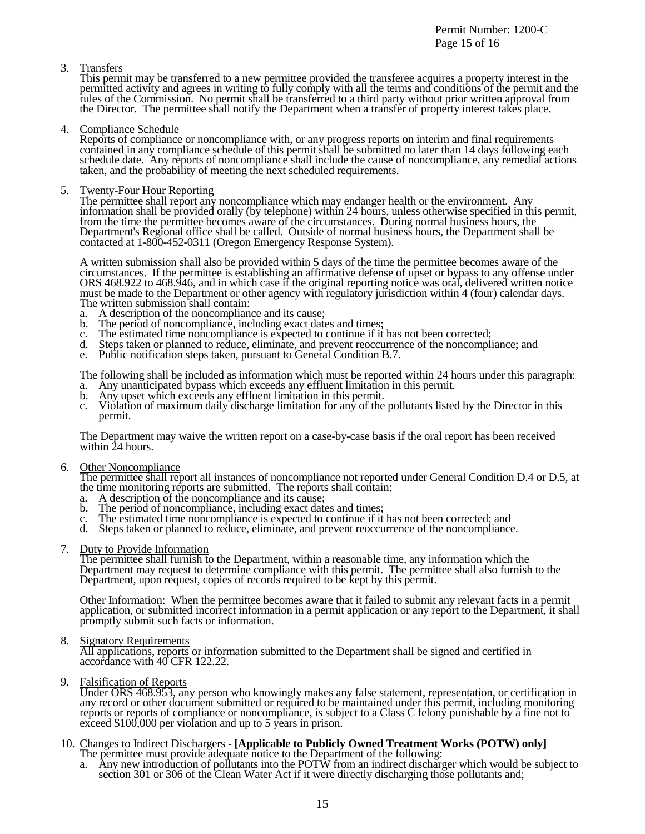Permit Number: 1200-C Page 15 of 16

# 3. Transfers

This permit may be transferred to a new permittee provided the transferee acquires a property interest in the permitted activity and agrees in writing to fully comply with all the terms and conditions of the permit and the rules of the Commission. No permit shall be transferred to a third party without prior written approval from the Director. The permittee shall notify the Department when a transfer of property interest takes place.

4. Compliance Schedule<br>Reports of compliance or noncompliance with, or any progress reports on interim and final requirements contained in any compliance schedule of this permit shall be submitted no later than 14 days following each schedule date. Any reports of noncompliance shall include the cause of noncompliance, any remedial actions taken, and the probability of meeting the next scheduled requirements.

5. Twenty-Four Hour Reporting<br>The permittee shall report any noncompliance which may endanger health or the environment. Any information shall be provided orally (by telephone) within 24 hours, unless otherwise specified in this permit, from the time the permittee becomes aware of the circumstances. During normal business hours, the Department's Regional office shall be called. Outside of normal business hours, the Department shall be contacted at 1-800-452-0311 (Oregon Emergency Response System).

A written submission shall also be provided within 5 days of the time the permittee becomes aware of the circumstances. If the permittee is establishing an affirmative defense of upset or bypass to any offense under ORS 468.922 to 468.946, and in which case if the original reporting notice was oral, delivered written notice must be made to the Department or other agency with regulatory jurisdiction within 4 (four) calendar days. The written submission shall contain:

- a. A description of the noncompliance and its cause;
- b. The period of noncompliance, including exact dates and times;
- c. The estimated time noncompliance is expected to continue if it has not been corrected;
- d. Steps taken or planned to reduce, eliminate, and prevent reoccurrence of the noncompliance; and
- e. Public notification steps taken, pursuant to General Condition B.7.

The following shall be included as information which must be reported within 24 hours under this paragraph:

- a. Any unanticipated bypass which exceeds any effluent limitation in this permit.
- b. Any upset which exceeds any effluent limitation in this permit.
- c. Violation of maximum daily discharge limitation for any of the pollutants listed by the Director in this permit.

The Department may waive the written report on a case-by-case basis if the oral report has been received within 24 hours.

6. Other Noncompliance<br>The permittee shall report all instances of noncompliance not reported under General Condition D.4 or D.5, at the time monitoring reports are submitted. The reports shall contain:

- a. A description of the noncompliance and its cause;<br>b. The period of noncompliance, including exact date
- The period of noncompliance, including exact dates and times;
- The estimated time noncompliance is expected to continue if it has not been corrected; and
- d. Steps taken or planned to reduce, eliminate, and prevent reoccurrence of the noncompliance.

7. Duty to Provide Information<br>The permittee shall furnish to the Department, within a reasonable time, any information which the Department may request to determine compliance with this permit. The permittee shall also furnish to the Department, upon request, copies of records required to be kept by this permit.

Other Information: When the permittee becomes aware that it failed to submit any relevant facts in a permit application, or submitted incorrect information in a permit application or any report to the Department, it shall promptly submit such facts or information.

8. Signatory Requirements<br>All applications, reports or information submitted to the Department shall be signed and certified in accordance with 40 CFR 122.22.

9. Falsification of Reports<br>Under ORS 468.953, any person who knowingly makes any false statement, representation, or certification in any record or other document submitted or required to be maintained under this permit, including monitoring reports or reports of compliance or noncompliance, is subject to a Class C felony punishable by a fine not to exceed \$100,000 per violation and up to 5 years in prison.

# 10. Changes to Indirect Dischargers - **[Applicable to Publicly Owned Treatment Works (POTW) only]** The permittee must provide adequate notice to the Department of the following:

a. Any new introduction of pollutants into the POTW from an indirect discharger which would be subject to section 301 or 306 of the Clean Water Act if it were directly discharging those pollutants and;